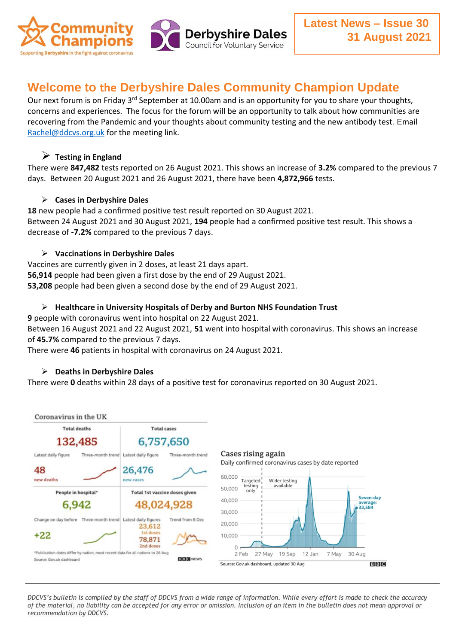

# **Welcome to the Derbyshire Dales Community Champion Update**

Our next forum is on Friday 3<sup>rd</sup> September at 10.00am and is an opportunity for you to share your thoughts, concerns and experiences. The focus for the forum will be an opportunity to talk about how communities are recovering from the Pandemic and your thoughts about community testing and the new antibody test. Email [Rachel@ddcvs.org.uk](mailto:Rachel@ddcvs.org.uk) for the meeting link.

## **Testing in England**

There were **847,482** tests reported on 26 August 2021. This shows an increase of **3.2%** compared to the previous 7 days. Between 20 August 2021 and 26 August 2021, there have been **4,872,966** tests.

## **Cases in Derbyshire Dales**

**18** new people had a confirmed positive test result reported on 30 August 2021. Between 24 August 2021 and 30 August 2021, **194** people had a confirmed positive test result. This shows a decrease of **-7.2%** compared to the previous 7 days.

### **Vaccinations in Derbyshire Dales**

Vaccines are currently given in 2 doses, at least 21 days apart. **56,914** people had been given a first dose by the end of 29 August 2021. **53,208** people had been given a second dose by the end of 29 August 2021.

## **Healthcare in University Hospitals of Derby and Burton NHS Foundation Trust**

**9** people with coronavirus went into hospital on 22 August 2021.

Between 16 August 2021 and 22 August 2021, **51** went into hospital with coronavirus. This shows an increase of **45.7%** compared to the previous 7 days.

There were **46** patients in hospital with coronavirus on 24 August 2021.

### **Deaths in Derbyshire Dales**

There were **0** deaths within 28 days of a positive test for coronavirus reported on 30 August 2021.



*DDCVS's bulletin is compiled by the staff of DDCVS from a wide range of information. While every effort is made to check the accuracy of the material, no liability can be accepted for any error or omission. Inclusion of an item in the bulletin does not mean approval or recommendation by DDCVS.*